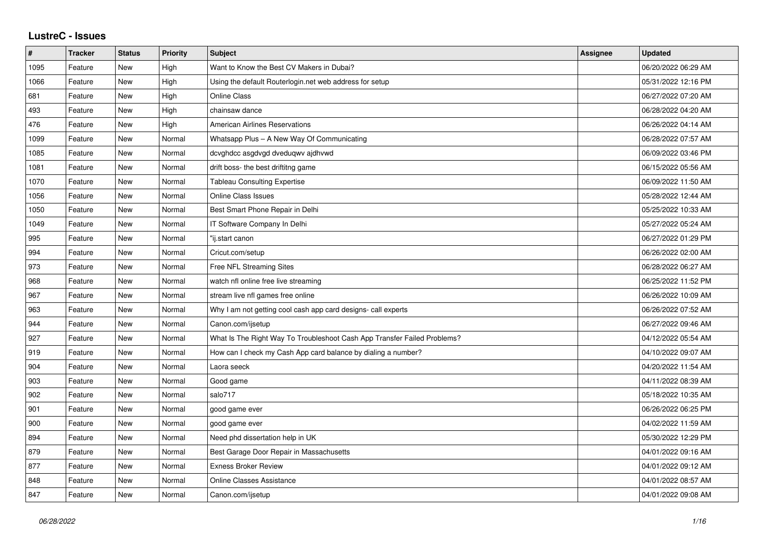## **LustreC - Issues**

| $\sharp$ | <b>Tracker</b> | <b>Status</b> | <b>Priority</b> | <b>Subject</b>                                                           | <b>Assignee</b> | <b>Updated</b>      |
|----------|----------------|---------------|-----------------|--------------------------------------------------------------------------|-----------------|---------------------|
| 1095     | Feature        | New           | High            | Want to Know the Best CV Makers in Dubai?                                |                 | 06/20/2022 06:29 AM |
| 1066     | Feature        | New           | High            | Using the default Routerlogin.net web address for setup                  |                 | 05/31/2022 12:16 PM |
| 681      | Feature        | New           | High            | <b>Online Class</b>                                                      |                 | 06/27/2022 07:20 AM |
| 493      | Feature        | New           | High            | chainsaw dance                                                           |                 | 06/28/2022 04:20 AM |
| 476      | Feature        | <b>New</b>    | High            | <b>American Airlines Reservations</b>                                    |                 | 06/26/2022 04:14 AM |
| 1099     | Feature        | New           | Normal          | Whatsapp Plus - A New Way Of Communicating                               |                 | 06/28/2022 07:57 AM |
| 1085     | Feature        | New           | Normal          | dcvghdcc asgdvgd dveduqwv ajdhvwd                                        |                 | 06/09/2022 03:46 PM |
| 1081     | Feature        | New           | Normal          | drift boss- the best driftitng game                                      |                 | 06/15/2022 05:56 AM |
| 1070     | Feature        | New           | Normal          | <b>Tableau Consulting Expertise</b>                                      |                 | 06/09/2022 11:50 AM |
| 1056     | Feature        | New           | Normal          | <b>Online Class Issues</b>                                               |                 | 05/28/2022 12:44 AM |
| 1050     | Feature        | New           | Normal          | Best Smart Phone Repair in Delhi                                         |                 | 05/25/2022 10:33 AM |
| 1049     | Feature        | New           | Normal          | IT Software Company In Delhi                                             |                 | 05/27/2022 05:24 AM |
| 995      | Feature        | New           | Normal          | "ij.start canon                                                          |                 | 06/27/2022 01:29 PM |
| 994      | Feature        | New           | Normal          | Cricut.com/setup                                                         |                 | 06/26/2022 02:00 AM |
| 973      | Feature        | New           | Normal          | Free NFL Streaming Sites                                                 |                 | 06/28/2022 06:27 AM |
| 968      | Feature        | New           | Normal          | watch nfl online free live streaming                                     |                 | 06/25/2022 11:52 PM |
| 967      | Feature        | New           | Normal          | stream live nfl games free online                                        |                 | 06/26/2022 10:09 AM |
| 963      | Feature        | New           | Normal          | Why I am not getting cool cash app card designs- call experts            |                 | 06/26/2022 07:52 AM |
| 944      | Feature        | New           | Normal          | Canon.com/ijsetup                                                        |                 | 06/27/2022 09:46 AM |
| 927      | Feature        | New           | Normal          | What Is The Right Way To Troubleshoot Cash App Transfer Failed Problems? |                 | 04/12/2022 05:54 AM |
| 919      | Feature        | New           | Normal          | How can I check my Cash App card balance by dialing a number?            |                 | 04/10/2022 09:07 AM |
| 904      | Feature        | New           | Normal          | Laora seeck                                                              |                 | 04/20/2022 11:54 AM |
| 903      | Feature        | New           | Normal          | Good game                                                                |                 | 04/11/2022 08:39 AM |
| 902      | Feature        | New           | Normal          | salo717                                                                  |                 | 05/18/2022 10:35 AM |
| 901      | Feature        | New           | Normal          | good game ever                                                           |                 | 06/26/2022 06:25 PM |
| 900      | Feature        | New           | Normal          | good game ever                                                           |                 | 04/02/2022 11:59 AM |
| 894      | Feature        | New           | Normal          | Need phd dissertation help in UK                                         |                 | 05/30/2022 12:29 PM |
| 879      | Feature        | New           | Normal          | Best Garage Door Repair in Massachusetts                                 |                 | 04/01/2022 09:16 AM |
| 877      | Feature        | New           | Normal          | <b>Exness Broker Review</b>                                              |                 | 04/01/2022 09:12 AM |
| 848      | Feature        | New           | Normal          | <b>Online Classes Assistance</b>                                         |                 | 04/01/2022 08:57 AM |
| 847      | Feature        | New           | Normal          | Canon.com/ijsetup                                                        |                 | 04/01/2022 09:08 AM |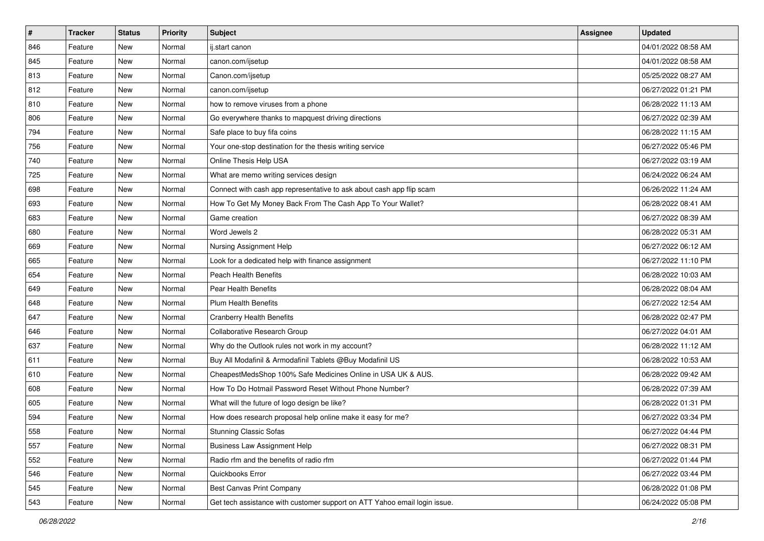| $\sharp$ | <b>Tracker</b> | <b>Status</b> | <b>Priority</b> | Subject                                                                   | <b>Assignee</b> | <b>Updated</b>      |
|----------|----------------|---------------|-----------------|---------------------------------------------------------------------------|-----------------|---------------------|
| 846      | Feature        | New           | Normal          | ij.start canon                                                            |                 | 04/01/2022 08:58 AM |
| 845      | Feature        | <b>New</b>    | Normal          | canon.com/ijsetup                                                         |                 | 04/01/2022 08:58 AM |
| 813      | Feature        | New           | Normal          | Canon.com/ijsetup                                                         |                 | 05/25/2022 08:27 AM |
| 812      | Feature        | New           | Normal          | canon.com/ijsetup                                                         |                 | 06/27/2022 01:21 PM |
| 810      | Feature        | New           | Normal          | how to remove viruses from a phone                                        |                 | 06/28/2022 11:13 AM |
| 806      | Feature        | New           | Normal          | Go everywhere thanks to mapquest driving directions                       |                 | 06/27/2022 02:39 AM |
| 794      | Feature        | New           | Normal          | Safe place to buy fifa coins                                              |                 | 06/28/2022 11:15 AM |
| 756      | Feature        | New           | Normal          | Your one-stop destination for the thesis writing service                  |                 | 06/27/2022 05:46 PM |
| 740      | Feature        | New           | Normal          | Online Thesis Help USA                                                    |                 | 06/27/2022 03:19 AM |
| 725      | Feature        | New           | Normal          | What are memo writing services design                                     |                 | 06/24/2022 06:24 AM |
| 698      | Feature        | New           | Normal          | Connect with cash app representative to ask about cash app flip scam      |                 | 06/26/2022 11:24 AM |
| 693      | Feature        | New           | Normal          | How To Get My Money Back From The Cash App To Your Wallet?                |                 | 06/28/2022 08:41 AM |
| 683      | Feature        | New           | Normal          | Game creation                                                             |                 | 06/27/2022 08:39 AM |
| 680      | Feature        | New           | Normal          | Word Jewels 2                                                             |                 | 06/28/2022 05:31 AM |
| 669      | Feature        | New           | Normal          | Nursing Assignment Help                                                   |                 | 06/27/2022 06:12 AM |
| 665      | Feature        | New           | Normal          | Look for a dedicated help with finance assignment                         |                 | 06/27/2022 11:10 PM |
| 654      | Feature        | New           | Normal          | <b>Peach Health Benefits</b>                                              |                 | 06/28/2022 10:03 AM |
| 649      | Feature        | New           | Normal          | <b>Pear Health Benefits</b>                                               |                 | 06/28/2022 08:04 AM |
| 648      | Feature        | New           | Normal          | <b>Plum Health Benefits</b>                                               |                 | 06/27/2022 12:54 AM |
| 647      | Feature        | New           | Normal          | <b>Cranberry Health Benefits</b>                                          |                 | 06/28/2022 02:47 PM |
| 646      | Feature        | New           | Normal          | Collaborative Research Group                                              |                 | 06/27/2022 04:01 AM |
| 637      | Feature        | New           | Normal          | Why do the Outlook rules not work in my account?                          |                 | 06/28/2022 11:12 AM |
| 611      | Feature        | New           | Normal          | Buy All Modafinil & Armodafinil Tablets @Buy Modafinil US                 |                 | 06/28/2022 10:53 AM |
| 610      | Feature        | New           | Normal          | CheapestMedsShop 100% Safe Medicines Online in USA UK & AUS.              |                 | 06/28/2022 09:42 AM |
| 608      | Feature        | New           | Normal          | How To Do Hotmail Password Reset Without Phone Number?                    |                 | 06/28/2022 07:39 AM |
| 605      | Feature        | New           | Normal          | What will the future of logo design be like?                              |                 | 06/28/2022 01:31 PM |
| 594      | Feature        | New           | Normal          | How does research proposal help online make it easy for me?               |                 | 06/27/2022 03:34 PM |
| 558      | Feature        | New           | Normal          | <b>Stunning Classic Sofas</b>                                             |                 | 06/27/2022 04:44 PM |
| 557      | Feature        | New           | Normal          | Business Law Assignment Help                                              |                 | 06/27/2022 08:31 PM |
| 552      | Feature        | New           | Normal          | Radio rfm and the benefits of radio rfm                                   |                 | 06/27/2022 01:44 PM |
| 546      | Feature        | New           | Normal          | Quickbooks Error                                                          |                 | 06/27/2022 03:44 PM |
| 545      | Feature        | New           | Normal          | Best Canvas Print Company                                                 |                 | 06/28/2022 01:08 PM |
| 543      | Feature        | New           | Normal          | Get tech assistance with customer support on ATT Yahoo email login issue. |                 | 06/24/2022 05:08 PM |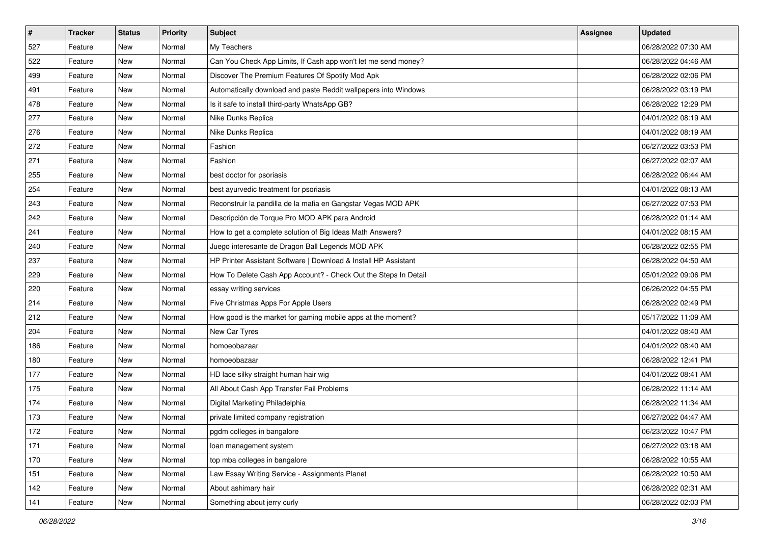| $\vert$ # | <b>Tracker</b> | <b>Status</b> | <b>Priority</b> | <b>Subject</b>                                                  | Assignee | <b>Updated</b>      |
|-----------|----------------|---------------|-----------------|-----------------------------------------------------------------|----------|---------------------|
| 527       | Feature        | New           | Normal          | My Teachers                                                     |          | 06/28/2022 07:30 AM |
| 522       | Feature        | New           | Normal          | Can You Check App Limits, If Cash app won't let me send money?  |          | 06/28/2022 04:46 AM |
| 499       | Feature        | New           | Normal          | Discover The Premium Features Of Spotify Mod Apk                |          | 06/28/2022 02:06 PM |
| 491       | Feature        | New           | Normal          | Automatically download and paste Reddit wallpapers into Windows |          | 06/28/2022 03:19 PM |
| 478       | Feature        | <b>New</b>    | Normal          | Is it safe to install third-party WhatsApp GB?                  |          | 06/28/2022 12:29 PM |
| 277       | Feature        | New           | Normal          | Nike Dunks Replica                                              |          | 04/01/2022 08:19 AM |
| 276       | Feature        | New           | Normal          | Nike Dunks Replica                                              |          | 04/01/2022 08:19 AM |
| 272       | Feature        | New           | Normal          | Fashion                                                         |          | 06/27/2022 03:53 PM |
| 271       | Feature        | New           | Normal          | Fashion                                                         |          | 06/27/2022 02:07 AM |
| 255       | Feature        | New           | Normal          | best doctor for psoriasis                                       |          | 06/28/2022 06:44 AM |
| 254       | Feature        | New           | Normal          | best ayurvedic treatment for psoriasis                          |          | 04/01/2022 08:13 AM |
| 243       | Feature        | New           | Normal          | Reconstruir la pandilla de la mafia en Gangstar Vegas MOD APK   |          | 06/27/2022 07:53 PM |
| 242       | Feature        | New           | Normal          | Descripción de Torque Pro MOD APK para Android                  |          | 06/28/2022 01:14 AM |
| 241       | Feature        | New           | Normal          | How to get a complete solution of Big Ideas Math Answers?       |          | 04/01/2022 08:15 AM |
| 240       | Feature        | <b>New</b>    | Normal          | Juego interesante de Dragon Ball Legends MOD APK                |          | 06/28/2022 02:55 PM |
| 237       | Feature        | New           | Normal          | HP Printer Assistant Software   Download & Install HP Assistant |          | 06/28/2022 04:50 AM |
| 229       | Feature        | New           | Normal          | How To Delete Cash App Account? - Check Out the Steps In Detail |          | 05/01/2022 09:06 PM |
| 220       | Feature        | <b>New</b>    | Normal          | essay writing services                                          |          | 06/26/2022 04:55 PM |
| 214       | Feature        | New           | Normal          | Five Christmas Apps For Apple Users                             |          | 06/28/2022 02:49 PM |
| 212       | Feature        | New           | Normal          | How good is the market for gaming mobile apps at the moment?    |          | 05/17/2022 11:09 AM |
| 204       | Feature        | New           | Normal          | New Car Tyres                                                   |          | 04/01/2022 08:40 AM |
| 186       | Feature        | New           | Normal          | homoeobazaar                                                    |          | 04/01/2022 08:40 AM |
| 180       | Feature        | <b>New</b>    | Normal          | homoeobazaar                                                    |          | 06/28/2022 12:41 PM |
| 177       | Feature        | New           | Normal          | HD lace silky straight human hair wig                           |          | 04/01/2022 08:41 AM |
| 175       | Feature        | New           | Normal          | All About Cash App Transfer Fail Problems                       |          | 06/28/2022 11:14 AM |
| 174       | Feature        | New           | Normal          | Digital Marketing Philadelphia                                  |          | 06/28/2022 11:34 AM |
| 173       | Feature        | New           | Normal          | private limited company registration                            |          | 06/27/2022 04:47 AM |
| 172       | Feature        | New           | Normal          | pgdm colleges in bangalore                                      |          | 06/23/2022 10:47 PM |
| 171       | Feature        | New           | Normal          | loan management system                                          |          | 06/27/2022 03:18 AM |
| 170       | Feature        | New           | Normal          | top mba colleges in bangalore                                   |          | 06/28/2022 10:55 AM |
| 151       | Feature        | New           | Normal          | Law Essay Writing Service - Assignments Planet                  |          | 06/28/2022 10:50 AM |
| 142       | Feature        | New           | Normal          | About ashimary hair                                             |          | 06/28/2022 02:31 AM |
| 141       | Feature        | New           | Normal          | Something about jerry curly                                     |          | 06/28/2022 02:03 PM |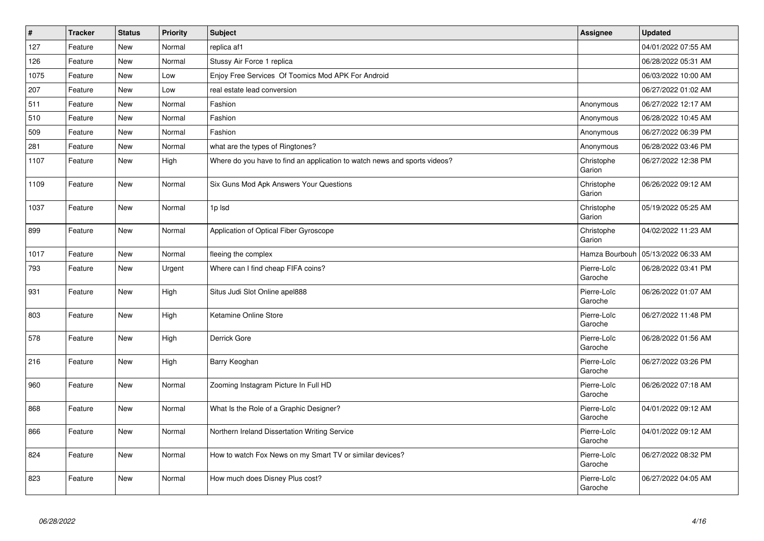| $\vert$ # | <b>Tracker</b> | <b>Status</b> | <b>Priority</b> | <b>Subject</b>                                                            | <b>Assignee</b>        | <b>Updated</b>      |
|-----------|----------------|---------------|-----------------|---------------------------------------------------------------------------|------------------------|---------------------|
| 127       | Feature        | <b>New</b>    | Normal          | replica af1                                                               |                        | 04/01/2022 07:55 AM |
| 126       | Feature        | <b>New</b>    | Normal          | Stussy Air Force 1 replica                                                |                        | 06/28/2022 05:31 AM |
| 1075      | Feature        | <b>New</b>    | Low             | Enjoy Free Services Of Toomics Mod APK For Android                        |                        | 06/03/2022 10:00 AM |
| 207       | Feature        | <b>New</b>    | Low             | real estate lead conversion                                               |                        | 06/27/2022 01:02 AM |
| 511       | Feature        | <b>New</b>    | Normal          | Fashion                                                                   | Anonymous              | 06/27/2022 12:17 AM |
| 510       | Feature        | New           | Normal          | Fashion                                                                   | Anonymous              | 06/28/2022 10:45 AM |
| 509       | Feature        | New           | Normal          | Fashion                                                                   | Anonymous              | 06/27/2022 06:39 PM |
| 281       | Feature        | New           | Normal          | what are the types of Ringtones?                                          | Anonymous              | 06/28/2022 03:46 PM |
| 1107      | Feature        | <b>New</b>    | High            | Where do you have to find an application to watch news and sports videos? | Christophe<br>Garion   | 06/27/2022 12:38 PM |
| 1109      | Feature        | New           | Normal          | Six Guns Mod Apk Answers Your Questions                                   | Christophe<br>Garion   | 06/26/2022 09:12 AM |
| 1037      | Feature        | <b>New</b>    | Normal          | 1p lsd                                                                    | Christophe<br>Garion   | 05/19/2022 05:25 AM |
| 899       | Feature        | <b>New</b>    | Normal          | Application of Optical Fiber Gyroscope                                    | Christophe<br>Garion   | 04/02/2022 11:23 AM |
| 1017      | Feature        | <b>New</b>    | Normal          | fleeing the complex                                                       | Hamza Bourbouh         | 05/13/2022 06:33 AM |
| 793       | Feature        | <b>New</b>    | Urgent          | Where can I find cheap FIFA coins?                                        | Pierre-Loïc<br>Garoche | 06/28/2022 03:41 PM |
| 931       | Feature        | New           | High            | Situs Judi Slot Online apel888                                            | Pierre-Loïc<br>Garoche | 06/26/2022 01:07 AM |
| 803       | Feature        | New           | High            | Ketamine Online Store                                                     | Pierre-Loïc<br>Garoche | 06/27/2022 11:48 PM |
| 578       | Feature        | <b>New</b>    | High            | Derrick Gore                                                              | Pierre-Loïc<br>Garoche | 06/28/2022 01:56 AM |
| 216       | Feature        | <b>New</b>    | High            | Barry Keoghan                                                             | Pierre-Loïc<br>Garoche | 06/27/2022 03:26 PM |
| 960       | Feature        | New           | Normal          | Zooming Instagram Picture In Full HD                                      | Pierre-Loïc<br>Garoche | 06/26/2022 07:18 AM |
| 868       | Feature        | New           | Normal          | What Is the Role of a Graphic Designer?                                   | Pierre-Loïc<br>Garoche | 04/01/2022 09:12 AM |
| 866       | Feature        | <b>New</b>    | Normal          | Northern Ireland Dissertation Writing Service                             | Pierre-Loïc<br>Garoche | 04/01/2022 09:12 AM |
| 824       | Feature        | <b>New</b>    | Normal          | How to watch Fox News on my Smart TV or similar devices?                  | Pierre-Loïc<br>Garoche | 06/27/2022 08:32 PM |
| 823       | Feature        | <b>New</b>    | Normal          | How much does Disney Plus cost?                                           | Pierre-Loïc<br>Garoche | 06/27/2022 04:05 AM |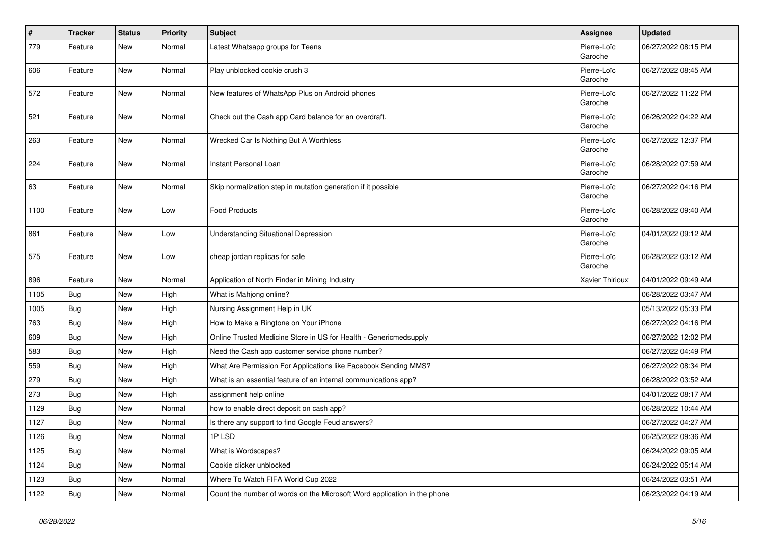| $\vert$ # | <b>Tracker</b> | <b>Status</b> | <b>Priority</b> | <b>Subject</b>                                                           | <b>Assignee</b>        | <b>Updated</b>      |
|-----------|----------------|---------------|-----------------|--------------------------------------------------------------------------|------------------------|---------------------|
| 779       | Feature        | New           | Normal          | Latest Whatsapp groups for Teens                                         | Pierre-Loïc<br>Garoche | 06/27/2022 08:15 PM |
| 606       | Feature        | <b>New</b>    | Normal          | Play unblocked cookie crush 3                                            | Pierre-Loïc<br>Garoche | 06/27/2022 08:45 AM |
| 572       | Feature        | <b>New</b>    | Normal          | New features of WhatsApp Plus on Android phones                          | Pierre-Loïc<br>Garoche | 06/27/2022 11:22 PM |
| 521       | Feature        | New           | Normal          | Check out the Cash app Card balance for an overdraft.                    | Pierre-Loïc<br>Garoche | 06/26/2022 04:22 AM |
| 263       | Feature        | New           | Normal          | Wrecked Car Is Nothing But A Worthless                                   | Pierre-Loïc<br>Garoche | 06/27/2022 12:37 PM |
| 224       | Feature        | <b>New</b>    | Normal          | Instant Personal Loan                                                    | Pierre-Loïc<br>Garoche | 06/28/2022 07:59 AM |
| 63        | Feature        | <b>New</b>    | Normal          | Skip normalization step in mutation generation if it possible            | Pierre-Loïc<br>Garoche | 06/27/2022 04:16 PM |
| 1100      | Feature        | New           | Low             | <b>Food Products</b>                                                     | Pierre-Loïc<br>Garoche | 06/28/2022 09:40 AM |
| 861       | Feature        | <b>New</b>    | Low             | <b>Understanding Situational Depression</b>                              | Pierre-Loïc<br>Garoche | 04/01/2022 09:12 AM |
| 575       | Feature        | <b>New</b>    | Low             | cheap jordan replicas for sale                                           | Pierre-Loïc<br>Garoche | 06/28/2022 03:12 AM |
| 896       | Feature        | <b>New</b>    | Normal          | Application of North Finder in Mining Industry                           | Xavier Thirioux        | 04/01/2022 09:49 AM |
| 1105      | <b>Bug</b>     | New           | High            | What is Mahjong online?                                                  |                        | 06/28/2022 03:47 AM |
| 1005      | <b>Bug</b>     | New           | High            | Nursing Assignment Help in UK                                            |                        | 05/13/2022 05:33 PM |
| 763       | <b>Bug</b>     | <b>New</b>    | High            | How to Make a Ringtone on Your iPhone                                    |                        | 06/27/2022 04:16 PM |
| 609       | <b>Bug</b>     | New           | High            | Online Trusted Medicine Store in US for Health - Genericmedsupply        |                        | 06/27/2022 12:02 PM |
| 583       | <b>Bug</b>     | New           | High            | Need the Cash app customer service phone number?                         |                        | 06/27/2022 04:49 PM |
| 559       | <b>Bug</b>     | New           | High            | What Are Permission For Applications like Facebook Sending MMS?          |                        | 06/27/2022 08:34 PM |
| 279       | <b>Bug</b>     | New           | High            | What is an essential feature of an internal communications app?          |                        | 06/28/2022 03:52 AM |
| 273       | <b>Bug</b>     | New           | High            | assignment help online                                                   |                        | 04/01/2022 08:17 AM |
| 1129      | <b>Bug</b>     | New           | Normal          | how to enable direct deposit on cash app?                                |                        | 06/28/2022 10:44 AM |
| 1127      | <b>Bug</b>     | New           | Normal          | Is there any support to find Google Feud answers?                        |                        | 06/27/2022 04:27 AM |
| 1126      | <b>Bug</b>     | New           | Normal          | 1PLSD                                                                    |                        | 06/25/2022 09:36 AM |
| 1125      | Bug            | New           | Normal          | What is Wordscapes?                                                      |                        | 06/24/2022 09:05 AM |
| 1124      | <b>Bug</b>     | New           | Normal          | Cookie clicker unblocked                                                 |                        | 06/24/2022 05:14 AM |
| 1123      | Bug            | New           | Normal          | Where To Watch FIFA World Cup 2022                                       |                        | 06/24/2022 03:51 AM |
| 1122      | <b>Bug</b>     | New           | Normal          | Count the number of words on the Microsoft Word application in the phone |                        | 06/23/2022 04:19 AM |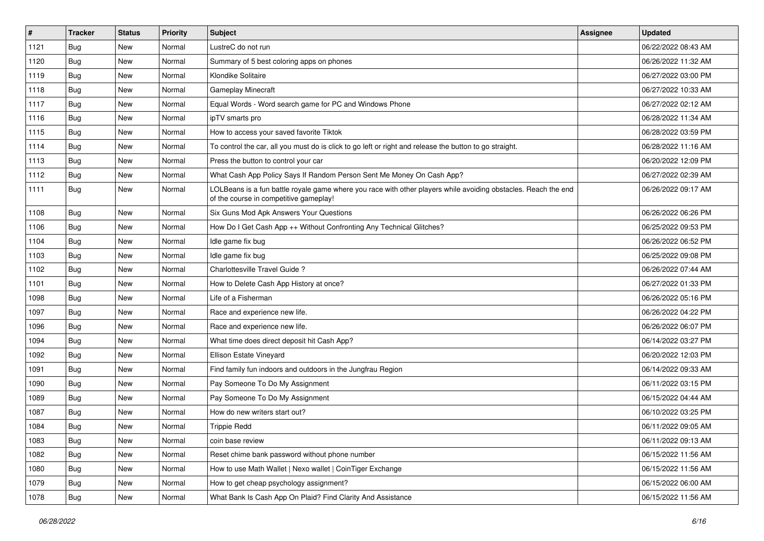| $\sharp$ | <b>Tracker</b> | <b>Status</b> | <b>Priority</b> | Subject                                                                                                                                                  | Assignee | <b>Updated</b>      |
|----------|----------------|---------------|-----------------|----------------------------------------------------------------------------------------------------------------------------------------------------------|----------|---------------------|
| 1121     | Bug            | New           | Normal          | LustreC do not run                                                                                                                                       |          | 06/22/2022 08:43 AM |
| 1120     | Bug            | <b>New</b>    | Normal          | Summary of 5 best coloring apps on phones                                                                                                                |          | 06/26/2022 11:32 AM |
| 1119     | Bug            | New           | Normal          | Klondike Solitaire                                                                                                                                       |          | 06/27/2022 03:00 PM |
| 1118     | Bug            | New           | Normal          | Gameplay Minecraft                                                                                                                                       |          | 06/27/2022 10:33 AM |
| 1117     | Bug            | <b>New</b>    | Normal          | Equal Words - Word search game for PC and Windows Phone                                                                                                  |          | 06/27/2022 02:12 AM |
| 1116     | <b>Bug</b>     | New           | Normal          | ipTV smarts pro                                                                                                                                          |          | 06/28/2022 11:34 AM |
| 1115     | Bug            | New           | Normal          | How to access your saved favorite Tiktok                                                                                                                 |          | 06/28/2022 03:59 PM |
| 1114     | <b>Bug</b>     | New           | Normal          | To control the car, all you must do is click to go left or right and release the button to go straight.                                                  |          | 06/28/2022 11:16 AM |
| 1113     | Bug            | <b>New</b>    | Normal          | Press the button to control your car                                                                                                                     |          | 06/20/2022 12:09 PM |
| 1112     | Bug            | <b>New</b>    | Normal          | What Cash App Policy Says If Random Person Sent Me Money On Cash App?                                                                                    |          | 06/27/2022 02:39 AM |
| 1111     | <b>Bug</b>     | New           | Normal          | LOLBeans is a fun battle royale game where you race with other players while avoiding obstacles. Reach the end<br>of the course in competitive gameplay! |          | 06/26/2022 09:17 AM |
| 1108     | Bug            | <b>New</b>    | Normal          | Six Guns Mod Apk Answers Your Questions                                                                                                                  |          | 06/26/2022 06:26 PM |
| 1106     | Bug            | New           | Normal          | How Do I Get Cash App ++ Without Confronting Any Technical Glitches?                                                                                     |          | 06/25/2022 09:53 PM |
| 1104     | Bug            | New           | Normal          | Idle game fix bug                                                                                                                                        |          | 06/26/2022 06:52 PM |
| 1103     | Bug            | New           | Normal          | Idle game fix bug                                                                                                                                        |          | 06/25/2022 09:08 PM |
| 1102     | Bug            | New           | Normal          | Charlottesville Travel Guide?                                                                                                                            |          | 06/26/2022 07:44 AM |
| 1101     | Bug            | <b>New</b>    | Normal          | How to Delete Cash App History at once?                                                                                                                  |          | 06/27/2022 01:33 PM |
| 1098     | <b>Bug</b>     | New           | Normal          | Life of a Fisherman                                                                                                                                      |          | 06/26/2022 05:16 PM |
| 1097     | Bug            | New           | Normal          | Race and experience new life.                                                                                                                            |          | 06/26/2022 04:22 PM |
| 1096     | Bug            | New           | Normal          | Race and experience new life.                                                                                                                            |          | 06/26/2022 06:07 PM |
| 1094     | Bug            | <b>New</b>    | Normal          | What time does direct deposit hit Cash App?                                                                                                              |          | 06/14/2022 03:27 PM |
| 1092     | Bug            | <b>New</b>    | Normal          | Ellison Estate Vineyard                                                                                                                                  |          | 06/20/2022 12:03 PM |
| 1091     | <b>Bug</b>     | New           | Normal          | Find family fun indoors and outdoors in the Jungfrau Region                                                                                              |          | 06/14/2022 09:33 AM |
| 1090     | Bug            | New           | Normal          | Pay Someone To Do My Assignment                                                                                                                          |          | 06/11/2022 03:15 PM |
| 1089     | Bug            | New           | Normal          | Pay Someone To Do My Assignment                                                                                                                          |          | 06/15/2022 04:44 AM |
| 1087     | Bug            | New           | Normal          | How do new writers start out?                                                                                                                            |          | 06/10/2022 03:25 PM |
| 1084     | Bug            | New           | Normal          | <b>Trippie Redd</b>                                                                                                                                      |          | 06/11/2022 09:05 AM |
| 1083     | Bug            | New           | Normal          | coin base review                                                                                                                                         |          | 06/11/2022 09:13 AM |
| 1082     | Bug            | New           | Normal          | Reset chime bank password without phone number                                                                                                           |          | 06/15/2022 11:56 AM |
| 1080     | Bug            | New           | Normal          | How to use Math Wallet   Nexo wallet   CoinTiger Exchange                                                                                                |          | 06/15/2022 11:56 AM |
| 1079     | <b>Bug</b>     | New           | Normal          | How to get cheap psychology assignment?                                                                                                                  |          | 06/15/2022 06:00 AM |
| 1078     | <b>Bug</b>     | New           | Normal          | What Bank Is Cash App On Plaid? Find Clarity And Assistance                                                                                              |          | 06/15/2022 11:56 AM |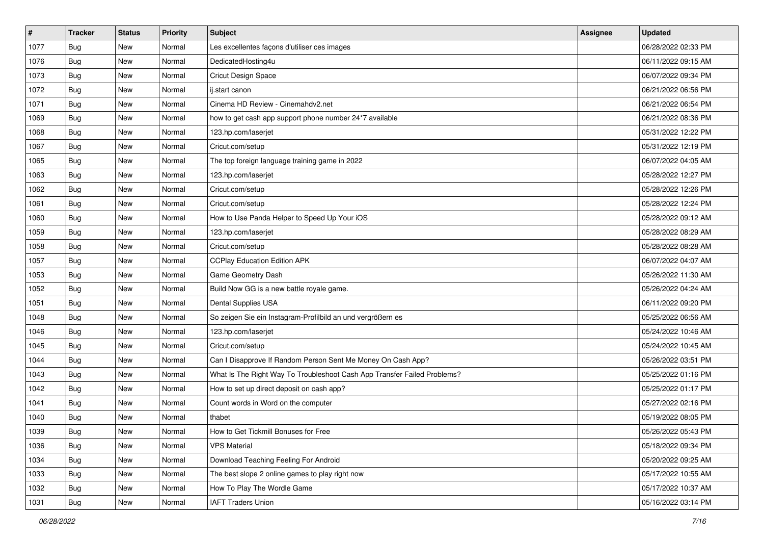| #    | <b>Tracker</b> | <b>Status</b> | <b>Priority</b> | Subject                                                                  | <b>Assignee</b> | <b>Updated</b>      |
|------|----------------|---------------|-----------------|--------------------------------------------------------------------------|-----------------|---------------------|
| 1077 | <b>Bug</b>     | New           | Normal          | Les excellentes façons d'utiliser ces images                             |                 | 06/28/2022 02:33 PM |
| 1076 | <b>Bug</b>     | <b>New</b>    | Normal          | DedicatedHosting4u                                                       |                 | 06/11/2022 09:15 AM |
| 1073 | <b>Bug</b>     | New           | Normal          | Cricut Design Space                                                      |                 | 06/07/2022 09:34 PM |
| 1072 | Bug            | New           | Normal          | ij.start canon                                                           |                 | 06/21/2022 06:56 PM |
| 1071 | <b>Bug</b>     | New           | Normal          | Cinema HD Review - Cinemahdv2.net                                        |                 | 06/21/2022 06:54 PM |
| 1069 | Bug            | New           | Normal          | how to get cash app support phone number 24*7 available                  |                 | 06/21/2022 08:36 PM |
| 1068 | Bug            | New           | Normal          | 123.hp.com/laserjet                                                      |                 | 05/31/2022 12:22 PM |
| 1067 | Bug            | New           | Normal          | Cricut.com/setup                                                         |                 | 05/31/2022 12:19 PM |
| 1065 | Bug            | <b>New</b>    | Normal          | The top foreign language training game in 2022                           |                 | 06/07/2022 04:05 AM |
| 1063 | Bug            | New           | Normal          | 123.hp.com/laserjet                                                      |                 | 05/28/2022 12:27 PM |
| 1062 | Bug            | New           | Normal          | Cricut.com/setup                                                         |                 | 05/28/2022 12:26 PM |
| 1061 | Bug            | New           | Normal          | Cricut.com/setup                                                         |                 | 05/28/2022 12:24 PM |
| 1060 | Bug            | <b>New</b>    | Normal          | How to Use Panda Helper to Speed Up Your iOS                             |                 | 05/28/2022 09:12 AM |
| 1059 | <b>Bug</b>     | New           | Normal          | 123.hp.com/laserjet                                                      |                 | 05/28/2022 08:29 AM |
| 1058 | <b>Bug</b>     | New           | Normal          | Cricut.com/setup                                                         |                 | 05/28/2022 08:28 AM |
| 1057 | <b>Bug</b>     | New           | Normal          | <b>CCPlay Education Edition APK</b>                                      |                 | 06/07/2022 04:07 AM |
| 1053 | <b>Bug</b>     | New           | Normal          | Game Geometry Dash                                                       |                 | 05/26/2022 11:30 AM |
| 1052 | Bug            | <b>New</b>    | Normal          | Build Now GG is a new battle royale game.                                |                 | 05/26/2022 04:24 AM |
| 1051 | <b>Bug</b>     | New           | Normal          | Dental Supplies USA                                                      |                 | 06/11/2022 09:20 PM |
| 1048 | Bug            | New           | Normal          | So zeigen Sie ein Instagram-Profilbild an und vergrößern es              |                 | 05/25/2022 06:56 AM |
| 1046 | <b>Bug</b>     | New           | Normal          | 123.hp.com/laserjet                                                      |                 | 05/24/2022 10:46 AM |
| 1045 | <b>Bug</b>     | New           | Normal          | Cricut.com/setup                                                         |                 | 05/24/2022 10:45 AM |
| 1044 | Bug            | <b>New</b>    | Normal          | Can I Disapprove If Random Person Sent Me Money On Cash App?             |                 | 05/26/2022 03:51 PM |
| 1043 | <b>Bug</b>     | New           | Normal          | What Is The Right Way To Troubleshoot Cash App Transfer Failed Problems? |                 | 05/25/2022 01:16 PM |
| 1042 | <b>Bug</b>     | New           | Normal          | How to set up direct deposit on cash app?                                |                 | 05/25/2022 01:17 PM |
| 1041 | Bug            | New           | Normal          | Count words in Word on the computer                                      |                 | 05/27/2022 02:16 PM |
| 1040 | <b>Bug</b>     | New           | Normal          | thabet                                                                   |                 | 05/19/2022 08:05 PM |
| 1039 | <b>Bug</b>     | New           | Normal          | How to Get Tickmill Bonuses for Free                                     |                 | 05/26/2022 05:43 PM |
| 1036 | <b>Bug</b>     | New           | Normal          | VPS Material                                                             |                 | 05/18/2022 09:34 PM |
| 1034 | Bug            | New           | Normal          | Download Teaching Feeling For Android                                    |                 | 05/20/2022 09:25 AM |
| 1033 | <b>Bug</b>     | New           | Normal          | The best slope 2 online games to play right now                          |                 | 05/17/2022 10:55 AM |
| 1032 | <b>Bug</b>     | New           | Normal          | How To Play The Wordle Game                                              |                 | 05/17/2022 10:37 AM |
| 1031 | <b>Bug</b>     | New           | Normal          | <b>IAFT Traders Union</b>                                                |                 | 05/16/2022 03:14 PM |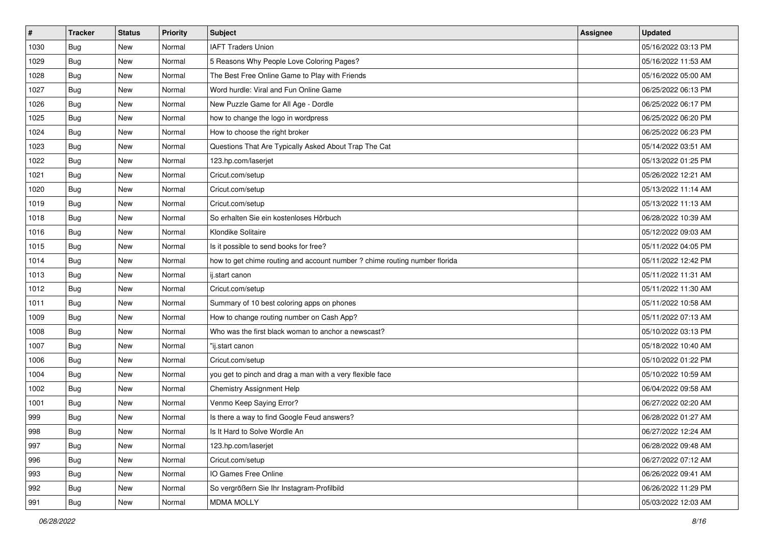| $\vert$ # | Tracker    | <b>Status</b> | <b>Priority</b> | <b>Subject</b>                                                             | Assignee | <b>Updated</b>      |
|-----------|------------|---------------|-----------------|----------------------------------------------------------------------------|----------|---------------------|
| 1030      | <b>Bug</b> | New           | Normal          | <b>IAFT Traders Union</b>                                                  |          | 05/16/2022 03:13 PM |
| 1029      | Bug        | New           | Normal          | 5 Reasons Why People Love Coloring Pages?                                  |          | 05/16/2022 11:53 AM |
| 1028      | <b>Bug</b> | New           | Normal          | The Best Free Online Game to Play with Friends                             |          | 05/16/2022 05:00 AM |
| 1027      | <b>Bug</b> | New           | Normal          | Word hurdle: Viral and Fun Online Game                                     |          | 06/25/2022 06:13 PM |
| 1026      | Bug        | New           | Normal          | New Puzzle Game for All Age - Dordle                                       |          | 06/25/2022 06:17 PM |
| 1025      | <b>Bug</b> | New           | Normal          | how to change the logo in wordpress                                        |          | 06/25/2022 06:20 PM |
| 1024      | <b>Bug</b> | New           | Normal          | How to choose the right broker                                             |          | 06/25/2022 06:23 PM |
| 1023      | <b>Bug</b> | New           | Normal          | Questions That Are Typically Asked About Trap The Cat                      |          | 05/14/2022 03:51 AM |
| 1022      | <b>Bug</b> | New           | Normal          | 123.hp.com/laserjet                                                        |          | 05/13/2022 01:25 PM |
| 1021      | Bug        | New           | Normal          | Cricut.com/setup                                                           |          | 05/26/2022 12:21 AM |
| 1020      | <b>Bug</b> | New           | Normal          | Cricut.com/setup                                                           |          | 05/13/2022 11:14 AM |
| 1019      | <b>Bug</b> | New           | Normal          | Cricut.com/setup                                                           |          | 05/13/2022 11:13 AM |
| 1018      | Bug        | New           | Normal          | So erhalten Sie ein kostenloses Hörbuch                                    |          | 06/28/2022 10:39 AM |
| 1016      | <b>Bug</b> | New           | Normal          | Klondike Solitaire                                                         |          | 05/12/2022 09:03 AM |
| 1015      | Bug        | New           | Normal          | Is it possible to send books for free?                                     |          | 05/11/2022 04:05 PM |
| 1014      | <b>Bug</b> | New           | Normal          | how to get chime routing and account number ? chime routing number florida |          | 05/11/2022 12:42 PM |
| 1013      | <b>Bug</b> | New           | Normal          | ij.start canon                                                             |          | 05/11/2022 11:31 AM |
| 1012      | Bug        | <b>New</b>    | Normal          | Cricut.com/setup                                                           |          | 05/11/2022 11:30 AM |
| 1011      | <b>Bug</b> | New           | Normal          | Summary of 10 best coloring apps on phones                                 |          | 05/11/2022 10:58 AM |
| 1009      | Bug        | New           | Normal          | How to change routing number on Cash App?                                  |          | 05/11/2022 07:13 AM |
| 1008      | <b>Bug</b> | New           | Normal          | Who was the first black woman to anchor a newscast?                        |          | 05/10/2022 03:13 PM |
| 1007      | <b>Bug</b> | New           | Normal          | "ij.start canon                                                            |          | 05/18/2022 10:40 AM |
| 1006      | Bug        | New           | Normal          | Cricut.com/setup                                                           |          | 05/10/2022 01:22 PM |
| 1004      | <b>Bug</b> | New           | Normal          | you get to pinch and drag a man with a very flexible face                  |          | 05/10/2022 10:59 AM |
| 1002      | <b>Bug</b> | New           | Normal          | <b>Chemistry Assignment Help</b>                                           |          | 06/04/2022 09:58 AM |
| 1001      | Bug        | New           | Normal          | Venmo Keep Saying Error?                                                   |          | 06/27/2022 02:20 AM |
| 999       | <b>Bug</b> | New           | Normal          | Is there a way to find Google Feud answers?                                |          | 06/28/2022 01:27 AM |
| 998       | <b>Bug</b> | New           | Normal          | Is It Hard to Solve Wordle An                                              |          | 06/27/2022 12:24 AM |
| 997       | Bug        | New           | Normal          | 123.hp.com/laserjet                                                        |          | 06/28/2022 09:48 AM |
| 996       | Bug        | New           | Normal          | Cricut.com/setup                                                           |          | 06/27/2022 07:12 AM |
| 993       | Bug        | New           | Normal          | IO Games Free Online                                                       |          | 06/26/2022 09:41 AM |
| 992       | <b>Bug</b> | New           | Normal          | So vergrößern Sie Ihr Instagram-Profilbild                                 |          | 06/26/2022 11:29 PM |
| 991       | <b>Bug</b> | New           | Normal          | <b>MDMA MOLLY</b>                                                          |          | 05/03/2022 12:03 AM |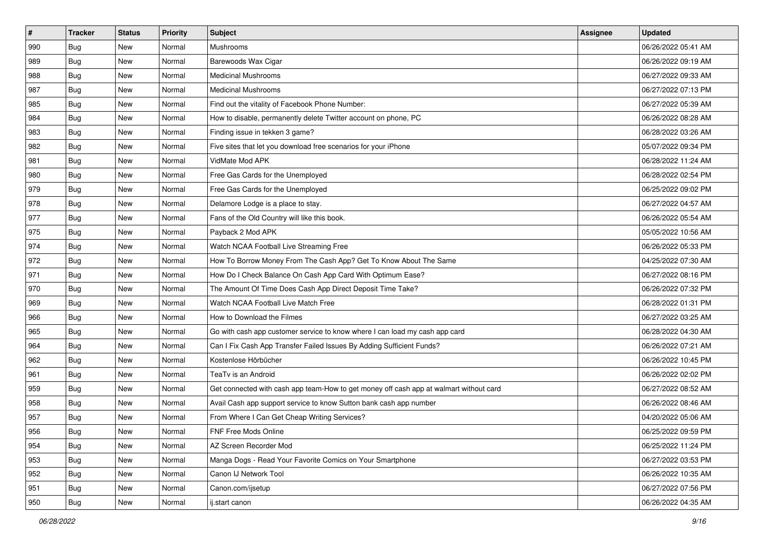| $\sharp$ | <b>Tracker</b> | <b>Status</b> | <b>Priority</b> | Subject                                                                                | <b>Assignee</b> | <b>Updated</b>      |
|----------|----------------|---------------|-----------------|----------------------------------------------------------------------------------------|-----------------|---------------------|
| 990      | Bug            | New           | Normal          | Mushrooms                                                                              |                 | 06/26/2022 05:41 AM |
| 989      | Bug            | New           | Normal          | Barewoods Wax Cigar                                                                    |                 | 06/26/2022 09:19 AM |
| 988      | <b>Bug</b>     | New           | Normal          | <b>Medicinal Mushrooms</b>                                                             |                 | 06/27/2022 09:33 AM |
| 987      | Bug            | New           | Normal          | <b>Medicinal Mushrooms</b>                                                             |                 | 06/27/2022 07:13 PM |
| 985      | <b>Bug</b>     | New           | Normal          | Find out the vitality of Facebook Phone Number:                                        |                 | 06/27/2022 05:39 AM |
| 984      | Bug            | New           | Normal          | How to disable, permanently delete Twitter account on phone, PC                        |                 | 06/26/2022 08:28 AM |
| 983      | Bug            | New           | Normal          | Finding issue in tekken 3 game?                                                        |                 | 06/28/2022 03:26 AM |
| 982      | <b>Bug</b>     | New           | Normal          | Five sites that let you download free scenarios for your iPhone                        |                 | 05/07/2022 09:34 PM |
| 981      | <b>Bug</b>     | New           | Normal          | VidMate Mod APK                                                                        |                 | 06/28/2022 11:24 AM |
| 980      | Bug            | New           | Normal          | Free Gas Cards for the Unemployed                                                      |                 | 06/28/2022 02:54 PM |
| 979      | <b>Bug</b>     | New           | Normal          | Free Gas Cards for the Unemployed                                                      |                 | 06/25/2022 09:02 PM |
| 978      | Bug            | New           | Normal          | Delamore Lodge is a place to stay.                                                     |                 | 06/27/2022 04:57 AM |
| 977      | <b>Bug</b>     | New           | Normal          | Fans of the Old Country will like this book.                                           |                 | 06/26/2022 05:54 AM |
| 975      | <b>Bug</b>     | New           | Normal          | Payback 2 Mod APK                                                                      |                 | 05/05/2022 10:56 AM |
| 974      | Bug            | New           | Normal          | Watch NCAA Football Live Streaming Free                                                |                 | 06/26/2022 05:33 PM |
| 972      | <b>Bug</b>     | New           | Normal          | How To Borrow Money From The Cash App? Get To Know About The Same                      |                 | 04/25/2022 07:30 AM |
| 971      | Bug            | New           | Normal          | How Do I Check Balance On Cash App Card With Optimum Ease?                             |                 | 06/27/2022 08:16 PM |
| 970      | <b>Bug</b>     | New           | Normal          | The Amount Of Time Does Cash App Direct Deposit Time Take?                             |                 | 06/26/2022 07:32 PM |
| 969      | Bug            | New           | Normal          | Watch NCAA Football Live Match Free                                                    |                 | 06/28/2022 01:31 PM |
| 966      | Bug            | New           | Normal          | How to Download the Filmes                                                             |                 | 06/27/2022 03:25 AM |
| 965      | <b>Bug</b>     | New           | Normal          | Go with cash app customer service to know where I can load my cash app card            |                 | 06/28/2022 04:30 AM |
| 964      | <b>Bug</b>     | New           | Normal          | Can I Fix Cash App Transfer Failed Issues By Adding Sufficient Funds?                  |                 | 06/26/2022 07:21 AM |
| 962      | Bug            | New           | Normal          | Kostenlose Hörbücher                                                                   |                 | 06/26/2022 10:45 PM |
| 961      | <b>Bug</b>     | New           | Normal          | TeaTv is an Android                                                                    |                 | 06/26/2022 02:02 PM |
| 959      | Bug            | New           | Normal          | Get connected with cash app team-How to get money off cash app at walmart without card |                 | 06/27/2022 08:52 AM |
| 958      | <b>Bug</b>     | New           | Normal          | Avail Cash app support service to know Sutton bank cash app number                     |                 | 06/26/2022 08:46 AM |
| 957      | <b>Bug</b>     | New           | Normal          | From Where I Can Get Cheap Writing Services?                                           |                 | 04/20/2022 05:06 AM |
| 956      | <b>Bug</b>     | New           | Normal          | FNF Free Mods Online                                                                   |                 | 06/25/2022 09:59 PM |
| 954      | Bug            | New           | Normal          | AZ Screen Recorder Mod                                                                 |                 | 06/25/2022 11:24 PM |
| 953      | <b>Bug</b>     | New           | Normal          | Manga Dogs - Read Your Favorite Comics on Your Smartphone                              |                 | 06/27/2022 03:53 PM |
| 952      | <b>Bug</b>     | New           | Normal          | Canon IJ Network Tool                                                                  |                 | 06/26/2022 10:35 AM |
| 951      | <b>Bug</b>     | New           | Normal          | Canon.com/ijsetup                                                                      |                 | 06/27/2022 07:56 PM |
| 950      | <b>Bug</b>     | New           | Normal          | ij.start canon                                                                         |                 | 06/26/2022 04:35 AM |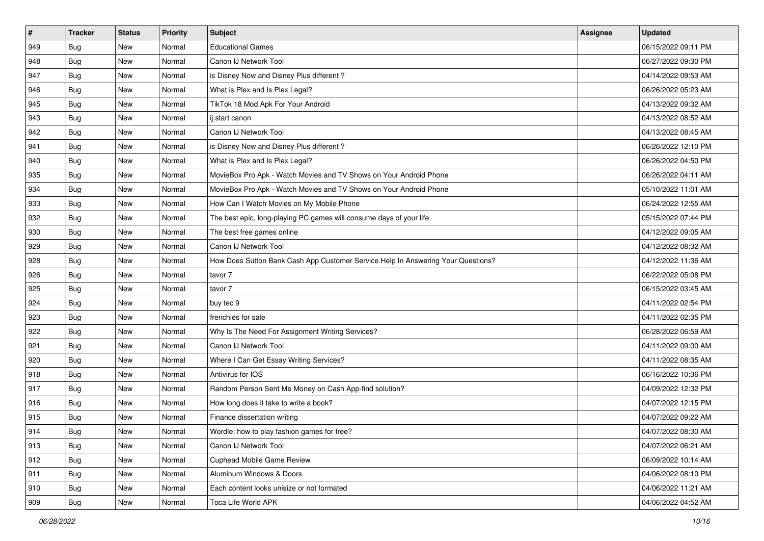| $\vert$ # | <b>Tracker</b> | <b>Status</b> | <b>Priority</b> | <b>Subject</b>                                                                   | Assignee | <b>Updated</b>      |
|-----------|----------------|---------------|-----------------|----------------------------------------------------------------------------------|----------|---------------------|
| 949       | <b>Bug</b>     | New           | Normal          | <b>Educational Games</b>                                                         |          | 06/15/2022 09:11 PM |
| 948       | <b>Bug</b>     | <b>New</b>    | Normal          | Canon IJ Network Tool                                                            |          | 06/27/2022 09:30 PM |
| 947       | Bug            | New           | Normal          | is Disney Now and Disney Plus different?                                         |          | 04/14/2022 09:53 AM |
| 946       | <b>Bug</b>     | New           | Normal          | What is Plex and Is Plex Legal?                                                  |          | 06/26/2022 05:23 AM |
| 945       | Bug            | <b>New</b>    | Normal          | TikTok 18 Mod Apk For Your Android                                               |          | 04/13/2022 09:32 AM |
| 943       | Bug            | New           | Normal          | ij.start canon                                                                   |          | 04/13/2022 08:52 AM |
| 942       | Bug            | New           | Normal          | Canon IJ Network Tool                                                            |          | 04/13/2022 08:45 AM |
| 941       | Bug            | New           | Normal          | is Disney Now and Disney Plus different?                                         |          | 06/26/2022 12:10 PM |
| 940       | Bug            | <b>New</b>    | Normal          | What is Plex and Is Plex Legal?                                                  |          | 06/26/2022 04:50 PM |
| 935       | Bug            | <b>New</b>    | Normal          | MovieBox Pro Apk - Watch Movies and TV Shows on Your Android Phone               |          | 06/26/2022 04:11 AM |
| 934       | <b>Bug</b>     | New           | Normal          | MovieBox Pro Apk - Watch Movies and TV Shows on Your Android Phone               |          | 05/10/2022 11:01 AM |
| 933       | <b>Bug</b>     | New           | Normal          | How Can I Watch Movies on My Mobile Phone                                        |          | 06/24/2022 12:55 AM |
| 932       | Bug            | <b>New</b>    | Normal          | The best epic, long-playing PC games will consume days of your life.             |          | 05/15/2022 07:44 PM |
| 930       | <b>Bug</b>     | <b>New</b>    | Normal          | The best free games online                                                       |          | 04/12/2022 09:05 AM |
| 929       | <b>Bug</b>     | <b>New</b>    | Normal          | Canon IJ Network Tool                                                            |          | 04/12/2022 08:32 AM |
| 928       | Bug            | New           | Normal          | How Does Sutton Bank Cash App Customer Service Help In Answering Your Questions? |          | 04/12/2022 11:36 AM |
| 926       | <b>Bug</b>     | New           | Normal          | tavor 7                                                                          |          | 06/22/2022 05:08 PM |
| 925       | Bug            | <b>New</b>    | Normal          | tavor 7                                                                          |          | 06/15/2022 03:45 AM |
| 924       | <b>Bug</b>     | New           | Normal          | buy tec 9                                                                        |          | 04/11/2022 02:54 PM |
| 923       | <b>Bug</b>     | <b>New</b>    | Normal          | frenchies for sale                                                               |          | 04/11/2022 02:35 PM |
| 922       | <b>Bug</b>     | New           | Normal          | Why Is The Need For Assignment Writing Services?                                 |          | 06/28/2022 06:59 AM |
| 921       | <b>Bug</b>     | New           | Normal          | Canon IJ Network Tool                                                            |          | 04/11/2022 09:00 AM |
| 920       | Bug            | <b>New</b>    | Normal          | Where I Can Get Essay Writing Services?                                          |          | 04/11/2022 08:35 AM |
| 918       | <b>Bug</b>     | New           | Normal          | Antivirus for IOS                                                                |          | 06/16/2022 10:36 PM |
| 917       | <b>Bug</b>     | New           | Normal          | Random Person Sent Me Money on Cash App-find solution?                           |          | 04/09/2022 12:32 PM |
| 916       | Bug            | New           | Normal          | How long does it take to write a book?                                           |          | 04/07/2022 12:15 PM |
| 915       | <b>Bug</b>     | New           | Normal          | Finance dissertation writing                                                     |          | 04/07/2022 09:22 AM |
| 914       | <b>Bug</b>     | New           | Normal          | Wordle: how to play fashion games for free?                                      |          | 04/07/2022 08:30 AM |
| 913       | Bug            | New           | Normal          | Canon IJ Network Tool                                                            |          | 04/07/2022 06:21 AM |
| 912       | <b>Bug</b>     | New           | Normal          | Cuphead Mobile Game Review                                                       |          | 06/09/2022 10:14 AM |
| 911       | Bug            | New           | Normal          | Aluminum Windows & Doors                                                         |          | 04/06/2022 08:10 PM |
| 910       | Bug            | New           | Normal          | Each content looks unisize or not formated                                       |          | 04/06/2022 11:21 AM |
| 909       | <b>Bug</b>     | New           | Normal          | Toca Life World APK                                                              |          | 04/06/2022 04:52 AM |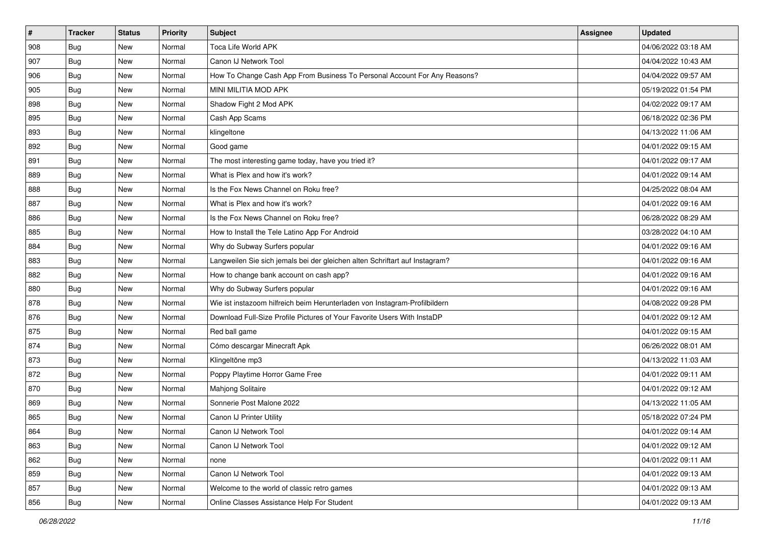| $\vert$ # | <b>Tracker</b> | <b>Status</b> | <b>Priority</b> | <b>Subject</b>                                                              | Assignee | <b>Updated</b>      |
|-----------|----------------|---------------|-----------------|-----------------------------------------------------------------------------|----------|---------------------|
| 908       | <b>Bug</b>     | New           | Normal          | Toca Life World APK                                                         |          | 04/06/2022 03:18 AM |
| 907       | <b>Bug</b>     | <b>New</b>    | Normal          | Canon IJ Network Tool                                                       |          | 04/04/2022 10:43 AM |
| 906       | Bug            | New           | Normal          | How To Change Cash App From Business To Personal Account For Any Reasons?   |          | 04/04/2022 09:57 AM |
| 905       | <b>Bug</b>     | New           | Normal          | MINI MILITIA MOD APK                                                        |          | 05/19/2022 01:54 PM |
| 898       | <b>Bug</b>     | <b>New</b>    | Normal          | Shadow Fight 2 Mod APK                                                      |          | 04/02/2022 09:17 AM |
| 895       | <b>Bug</b>     | New           | Normal          | Cash App Scams                                                              |          | 06/18/2022 02:36 PM |
| 893       | Bug            | New           | Normal          | klingeltone                                                                 |          | 04/13/2022 11:06 AM |
| 892       | <b>Bug</b>     | New           | Normal          | Good game                                                                   |          | 04/01/2022 09:15 AM |
| 891       | <b>Bug</b>     | <b>New</b>    | Normal          | The most interesting game today, have you tried it?                         |          | 04/01/2022 09:17 AM |
| 889       | Bug            | <b>New</b>    | Normal          | What is Plex and how it's work?                                             |          | 04/01/2022 09:14 AM |
| 888       | <b>Bug</b>     | New           | Normal          | Is the Fox News Channel on Roku free?                                       |          | 04/25/2022 08:04 AM |
| 887       | <b>Bug</b>     | New           | Normal          | What is Plex and how it's work?                                             |          | 04/01/2022 09:16 AM |
| 886       | Bug            | <b>New</b>    | Normal          | Is the Fox News Channel on Roku free?                                       |          | 06/28/2022 08:29 AM |
| 885       | Bug            | <b>New</b>    | Normal          | How to Install the Tele Latino App For Android                              |          | 03/28/2022 04:10 AM |
| 884       | <b>Bug</b>     | <b>New</b>    | Normal          | Why do Subway Surfers popular                                               |          | 04/01/2022 09:16 AM |
| 883       | Bug            | New           | Normal          | Langweilen Sie sich jemals bei der gleichen alten Schriftart auf Instagram? |          | 04/01/2022 09:16 AM |
| 882       | <b>Bug</b>     | New           | Normal          | How to change bank account on cash app?                                     |          | 04/01/2022 09:16 AM |
| 880       | Bug            | <b>New</b>    | Normal          | Why do Subway Surfers popular                                               |          | 04/01/2022 09:16 AM |
| 878       | <b>Bug</b>     | New           | Normal          | Wie ist instazoom hilfreich beim Herunterladen von Instagram-Profilbildern  |          | 04/08/2022 09:28 PM |
| 876       | Bug            | <b>New</b>    | Normal          | Download Full-Size Profile Pictures of Your Favorite Users With InstaDP     |          | 04/01/2022 09:12 AM |
| 875       | Bug            | New           | Normal          | Red ball game                                                               |          | 04/01/2022 09:15 AM |
| 874       | <b>Bug</b>     | <b>New</b>    | Normal          | Cómo descargar Minecraft Apk                                                |          | 06/26/2022 08:01 AM |
| 873       | Bug            | <b>New</b>    | Normal          | Klingeltöne mp3                                                             |          | 04/13/2022 11:03 AM |
| 872       | <b>Bug</b>     | New           | Normal          | Poppy Playtime Horror Game Free                                             |          | 04/01/2022 09:11 AM |
| 870       | <b>Bug</b>     | New           | Normal          | Mahjong Solitaire                                                           |          | 04/01/2022 09:12 AM |
| 869       | Bug            | New           | Normal          | Sonnerie Post Malone 2022                                                   |          | 04/13/2022 11:05 AM |
| 865       | <b>Bug</b>     | New           | Normal          | Canon IJ Printer Utility                                                    |          | 05/18/2022 07:24 PM |
| 864       | <b>Bug</b>     | New           | Normal          | Canon IJ Network Tool                                                       |          | 04/01/2022 09:14 AM |
| 863       | <b>Bug</b>     | New           | Normal          | Canon IJ Network Tool                                                       |          | 04/01/2022 09:12 AM |
| 862       | <b>Bug</b>     | New           | Normal          | none                                                                        |          | 04/01/2022 09:11 AM |
| 859       | Bug            | New           | Normal          | Canon IJ Network Tool                                                       |          | 04/01/2022 09:13 AM |
| 857       | <b>Bug</b>     | New           | Normal          | Welcome to the world of classic retro games                                 |          | 04/01/2022 09:13 AM |
| 856       | <b>Bug</b>     | New           | Normal          | Online Classes Assistance Help For Student                                  |          | 04/01/2022 09:13 AM |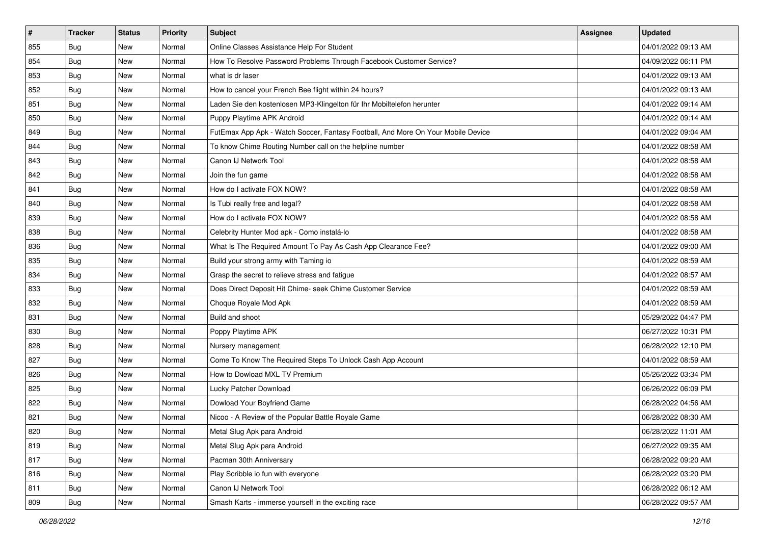| $\vert$ # | <b>Tracker</b> | <b>Status</b> | <b>Priority</b> | <b>Subject</b>                                                                   | Assignee | <b>Updated</b>      |
|-----------|----------------|---------------|-----------------|----------------------------------------------------------------------------------|----------|---------------------|
| 855       | <b>Bug</b>     | New           | Normal          | Online Classes Assistance Help For Student                                       |          | 04/01/2022 09:13 AM |
| 854       | <b>Bug</b>     | <b>New</b>    | Normal          | How To Resolve Password Problems Through Facebook Customer Service?              |          | 04/09/2022 06:11 PM |
| 853       | Bug            | New           | Normal          | what is dr laser                                                                 |          | 04/01/2022 09:13 AM |
| 852       | <b>Bug</b>     | New           | Normal          | How to cancel your French Bee flight within 24 hours?                            |          | 04/01/2022 09:13 AM |
| 851       | <b>Bug</b>     | <b>New</b>    | Normal          | Laden Sie den kostenlosen MP3-Klingelton für Ihr Mobiltelefon herunter           |          | 04/01/2022 09:14 AM |
| 850       | Bug            | New           | Normal          | Puppy Playtime APK Android                                                       |          | 04/01/2022 09:14 AM |
| 849       | Bug            | New           | Normal          | FutEmax App Apk - Watch Soccer, Fantasy Football, And More On Your Mobile Device |          | 04/01/2022 09:04 AM |
| 844       | Bug            | New           | Normal          | To know Chime Routing Number call on the helpline number                         |          | 04/01/2022 08:58 AM |
| 843       | Bug            | New           | Normal          | Canon IJ Network Tool                                                            |          | 04/01/2022 08:58 AM |
| 842       | Bug            | New           | Normal          | Join the fun game                                                                |          | 04/01/2022 08:58 AM |
| 841       | <b>Bug</b>     | New           | Normal          | How do I activate FOX NOW?                                                       |          | 04/01/2022 08:58 AM |
| 840       | Bug            | New           | Normal          | Is Tubi really free and legal?                                                   |          | 04/01/2022 08:58 AM |
| 839       | Bug            | <b>New</b>    | Normal          | How do I activate FOX NOW?                                                       |          | 04/01/2022 08:58 AM |
| 838       | <b>Bug</b>     | <b>New</b>    | Normal          | Celebrity Hunter Mod apk - Como instalá-lo                                       |          | 04/01/2022 08:58 AM |
| 836       | <b>Bug</b>     | <b>New</b>    | Normal          | What Is The Required Amount To Pay As Cash App Clearance Fee?                    |          | 04/01/2022 09:00 AM |
| 835       | Bug            | New           | Normal          | Build your strong army with Taming io                                            |          | 04/01/2022 08:59 AM |
| 834       | <b>Bug</b>     | New           | Normal          | Grasp the secret to relieve stress and fatigue                                   |          | 04/01/2022 08:57 AM |
| 833       | Bug            | <b>New</b>    | Normal          | Does Direct Deposit Hit Chime- seek Chime Customer Service                       |          | 04/01/2022 08:59 AM |
| 832       | <b>Bug</b>     | New           | Normal          | Choque Royale Mod Apk                                                            |          | 04/01/2022 08:59 AM |
| 831       | <b>Bug</b>     | New           | Normal          | Build and shoot                                                                  |          | 05/29/2022 04:47 PM |
| 830       | <b>Bug</b>     | New           | Normal          | Poppy Playtime APK                                                               |          | 06/27/2022 10:31 PM |
| 828       | <b>Bug</b>     | New           | Normal          | Nursery management                                                               |          | 06/28/2022 12:10 PM |
| 827       | Bug            | <b>New</b>    | Normal          | Come To Know The Required Steps To Unlock Cash App Account                       |          | 04/01/2022 08:59 AM |
| 826       | <b>Bug</b>     | New           | Normal          | How to Dowload MXL TV Premium                                                    |          | 05/26/2022 03:34 PM |
| 825       | Bug            | New           | Normal          | Lucky Patcher Download                                                           |          | 06/26/2022 06:09 PM |
| 822       | Bug            | New           | Normal          | Dowload Your Boyfriend Game                                                      |          | 06/28/2022 04:56 AM |
| 821       | <b>Bug</b>     | New           | Normal          | Nicoo - A Review of the Popular Battle Royale Game                               |          | 06/28/2022 08:30 AM |
| 820       | <b>Bug</b>     | New           | Normal          | Metal Slug Apk para Android                                                      |          | 06/28/2022 11:01 AM |
| 819       | <b>Bug</b>     | New           | Normal          | Metal Slug Apk para Android                                                      |          | 06/27/2022 09:35 AM |
| 817       | <b>Bug</b>     | New           | Normal          | Pacman 30th Anniversary                                                          |          | 06/28/2022 09:20 AM |
| 816       | Bug            | New           | Normal          | Play Scribble io fun with everyone                                               |          | 06/28/2022 03:20 PM |
| 811       | <b>Bug</b>     | New           | Normal          | Canon IJ Network Tool                                                            |          | 06/28/2022 06:12 AM |
| 809       | <b>Bug</b>     | New           | Normal          | Smash Karts - immerse yourself in the exciting race                              |          | 06/28/2022 09:57 AM |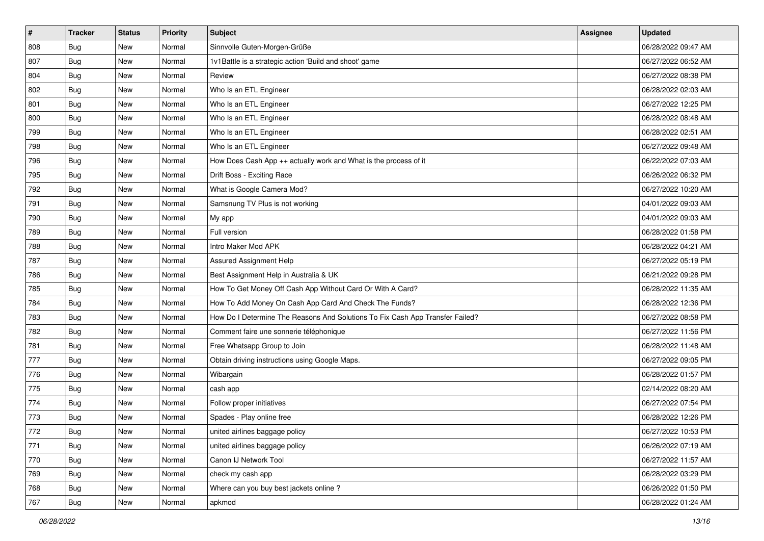| $\vert$ # | <b>Tracker</b> | <b>Status</b> | <b>Priority</b> | <b>Subject</b>                                                                | Assignee | <b>Updated</b>      |
|-----------|----------------|---------------|-----------------|-------------------------------------------------------------------------------|----------|---------------------|
| 808       | <b>Bug</b>     | New           | Normal          | Sinnvolle Guten-Morgen-Grüße                                                  |          | 06/28/2022 09:47 AM |
| 807       | <b>Bug</b>     | <b>New</b>    | Normal          | 1v1Battle is a strategic action 'Build and shoot' game                        |          | 06/27/2022 06:52 AM |
| 804       | Bug            | New           | Normal          | Review                                                                        |          | 06/27/2022 08:38 PM |
| 802       | <b>Bug</b>     | New           | Normal          | Who Is an ETL Engineer                                                        |          | 06/28/2022 02:03 AM |
| 801       | Bug            | <b>New</b>    | Normal          | Who Is an ETL Engineer                                                        |          | 06/27/2022 12:25 PM |
| 800       | <b>Bug</b>     | New           | Normal          | Who Is an ETL Engineer                                                        |          | 06/28/2022 08:48 AM |
| 799       | Bug            | New           | Normal          | Who Is an ETL Engineer                                                        |          | 06/28/2022 02:51 AM |
| 798       | <b>Bug</b>     | New           | Normal          | Who Is an ETL Engineer                                                        |          | 06/27/2022 09:48 AM |
| 796       | <b>Bug</b>     | New           | Normal          | How Does Cash App ++ actually work and What is the process of it              |          | 06/22/2022 07:03 AM |
| 795       | Bug            | <b>New</b>    | Normal          | Drift Boss - Exciting Race                                                    |          | 06/26/2022 06:32 PM |
| 792       | <b>Bug</b>     | New           | Normal          | What is Google Camera Mod?                                                    |          | 06/27/2022 10:20 AM |
| 791       | <b>Bug</b>     | New           | Normal          | Samsnung TV Plus is not working                                               |          | 04/01/2022 09:03 AM |
| 790       | Bug            | <b>New</b>    | Normal          | My app                                                                        |          | 04/01/2022 09:03 AM |
| 789       | <b>Bug</b>     | New           | Normal          | Full version                                                                  |          | 06/28/2022 01:58 PM |
| 788       | <b>Bug</b>     | <b>New</b>    | Normal          | Intro Maker Mod APK                                                           |          | 06/28/2022 04:21 AM |
| 787       | Bug            | New           | Normal          | Assured Assignment Help                                                       |          | 06/27/2022 05:19 PM |
| 786       | <b>Bug</b>     | New           | Normal          | Best Assignment Help in Australia & UK                                        |          | 06/21/2022 09:28 PM |
| 785       | Bug            | <b>New</b>    | Normal          | How To Get Money Off Cash App Without Card Or With A Card?                    |          | 06/28/2022 11:35 AM |
| 784       | <b>Bug</b>     | New           | Normal          | How To Add Money On Cash App Card And Check The Funds?                        |          | 06/28/2022 12:36 PM |
| 783       | <b>Bug</b>     | New           | Normal          | How Do I Determine The Reasons And Solutions To Fix Cash App Transfer Failed? |          | 06/27/2022 08:58 PM |
| 782       | <b>Bug</b>     | New           | Normal          | Comment faire une sonnerie téléphonique                                       |          | 06/27/2022 11:56 PM |
| 781       | <b>Bug</b>     | <b>New</b>    | Normal          | Free Whatsapp Group to Join                                                   |          | 06/28/2022 11:48 AM |
| 777       | Bug            | <b>New</b>    | Normal          | Obtain driving instructions using Google Maps.                                |          | 06/27/2022 09:05 PM |
| 776       | <b>Bug</b>     | New           | Normal          | Wibargain                                                                     |          | 06/28/2022 01:57 PM |
| 775       | <b>Bug</b>     | New           | Normal          | cash app                                                                      |          | 02/14/2022 08:20 AM |
| 774       | Bug            | New           | Normal          | Follow proper initiatives                                                     |          | 06/27/2022 07:54 PM |
| 773       | <b>Bug</b>     | New           | Normal          | Spades - Play online free                                                     |          | 06/28/2022 12:26 PM |
| 772       | <b>Bug</b>     | New           | Normal          | united airlines baggage policy                                                |          | 06/27/2022 10:53 PM |
| 771       | <b>Bug</b>     | New           | Normal          | united airlines baggage policy                                                |          | 06/26/2022 07:19 AM |
| 770       | <b>Bug</b>     | New           | Normal          | Canon IJ Network Tool                                                         |          | 06/27/2022 11:57 AM |
| 769       | Bug            | New           | Normal          | check my cash app                                                             |          | 06/28/2022 03:29 PM |
| 768       | Bug            | New           | Normal          | Where can you buy best jackets online?                                        |          | 06/26/2022 01:50 PM |
| 767       | Bug            | New           | Normal          | apkmod                                                                        |          | 06/28/2022 01:24 AM |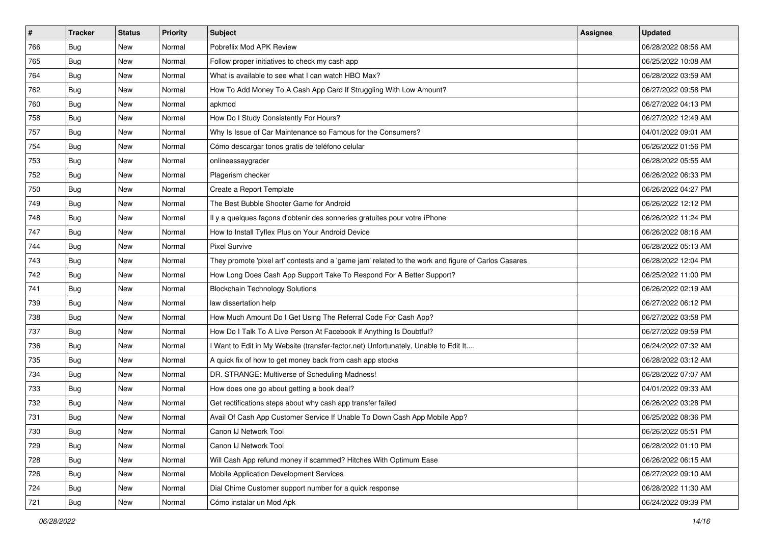| #   | <b>Tracker</b> | <b>Status</b> | <b>Priority</b> | <b>Subject</b>                                                                                      | Assignee | <b>Updated</b>      |
|-----|----------------|---------------|-----------------|-----------------------------------------------------------------------------------------------------|----------|---------------------|
| 766 | <b>Bug</b>     | New           | Normal          | Pobreflix Mod APK Review                                                                            |          | 06/28/2022 08:56 AM |
| 765 | Bug            | New           | Normal          | Follow proper initiatives to check my cash app                                                      |          | 06/25/2022 10:08 AM |
| 764 | Bug            | New           | Normal          | What is available to see what I can watch HBO Max?                                                  |          | 06/28/2022 03:59 AM |
| 762 | Bug            | New           | Normal          | How To Add Money To A Cash App Card If Struggling With Low Amount?                                  |          | 06/27/2022 09:58 PM |
| 760 | <b>Bug</b>     | New           | Normal          | apkmod                                                                                              |          | 06/27/2022 04:13 PM |
| 758 | Bug            | New           | Normal          | How Do I Study Consistently For Hours?                                                              |          | 06/27/2022 12:49 AM |
| 757 | Bug            | New           | Normal          | Why Is Issue of Car Maintenance so Famous for the Consumers?                                        |          | 04/01/2022 09:01 AM |
| 754 | <b>Bug</b>     | New           | Normal          | Cómo descargar tonos gratis de teléfono celular                                                     |          | 06/26/2022 01:56 PM |
| 753 | Bug            | New           | Normal          | onlineessaygrader                                                                                   |          | 06/28/2022 05:55 AM |
| 752 | Bug            | New           | Normal          | Plagerism checker                                                                                   |          | 06/26/2022 06:33 PM |
| 750 | <b>Bug</b>     | New           | Normal          | Create a Report Template                                                                            |          | 06/26/2022 04:27 PM |
| 749 | Bug            | New           | Normal          | The Best Bubble Shooter Game for Android                                                            |          | 06/26/2022 12:12 PM |
| 748 | Bug            | New           | Normal          | Il y a quelques façons d'obtenir des sonneries gratuites pour votre iPhone                          |          | 06/26/2022 11:24 PM |
| 747 | <b>Bug</b>     | New           | Normal          | How to Install Tyflex Plus on Your Android Device                                                   |          | 06/26/2022 08:16 AM |
| 744 | Bug            | New           | Normal          | <b>Pixel Survive</b>                                                                                |          | 06/28/2022 05:13 AM |
| 743 | Bug            | New           | Normal          | They promote 'pixel art' contests and a 'game jam' related to the work and figure of Carlos Casares |          | 06/28/2022 12:04 PM |
| 742 | Bug            | New           | Normal          | How Long Does Cash App Support Take To Respond For A Better Support?                                |          | 06/25/2022 11:00 PM |
| 741 | Bug            | New           | Normal          | <b>Blockchain Technology Solutions</b>                                                              |          | 06/26/2022 02:19 AM |
| 739 | <b>Bug</b>     | New           | Normal          | law dissertation help                                                                               |          | 06/27/2022 06:12 PM |
| 738 | Bug            | New           | Normal          | How Much Amount Do I Get Using The Referral Code For Cash App?                                      |          | 06/27/2022 03:58 PM |
| 737 | <b>Bug</b>     | New           | Normal          | How Do I Talk To A Live Person At Facebook If Anything Is Doubtful?                                 |          | 06/27/2022 09:59 PM |
| 736 | Bug            | New           | Normal          | I Want to Edit in My Website (transfer-factor.net) Unfortunately, Unable to Edit It                 |          | 06/24/2022 07:32 AM |
| 735 | Bug            | New           | Normal          | A quick fix of how to get money back from cash app stocks                                           |          | 06/28/2022 03:12 AM |
| 734 | <b>Bug</b>     | New           | Normal          | DR. STRANGE: Multiverse of Scheduling Madness!                                                      |          | 06/28/2022 07:07 AM |
| 733 | Bug            | New           | Normal          | How does one go about getting a book deal?                                                          |          | 04/01/2022 09:33 AM |
| 732 | Bug            | New           | Normal          | Get rectifications steps about why cash app transfer failed                                         |          | 06/26/2022 03:28 PM |
| 731 | <b>Bug</b>     | New           | Normal          | Avail Of Cash App Customer Service If Unable To Down Cash App Mobile App?                           |          | 06/25/2022 08:36 PM |
| 730 | Bug            | New           | Normal          | Canon IJ Network Tool                                                                               |          | 06/26/2022 05:51 PM |
| 729 | <b>Bug</b>     | New           | Normal          | Canon IJ Network Tool                                                                               |          | 06/28/2022 01:10 PM |
| 728 | Bug            | New           | Normal          | Will Cash App refund money if scammed? Hitches With Optimum Ease                                    |          | 06/26/2022 06:15 AM |
| 726 | Bug            | New           | Normal          | Mobile Application Development Services                                                             |          | 06/27/2022 09:10 AM |
| 724 | <b>Bug</b>     | New           | Normal          | Dial Chime Customer support number for a quick response                                             |          | 06/28/2022 11:30 AM |
| 721 | <b>Bug</b>     | New           | Normal          | Cómo instalar un Mod Apk                                                                            |          | 06/24/2022 09:39 PM |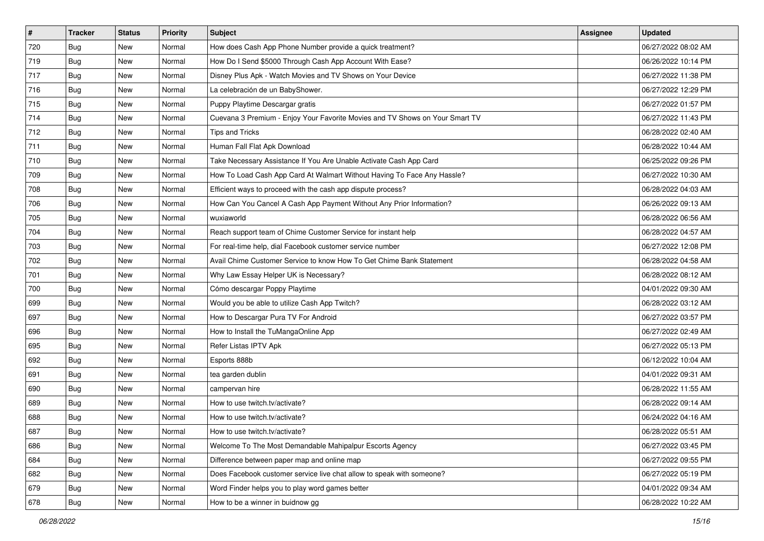| #   | <b>Tracker</b> | <b>Status</b> | <b>Priority</b> | Subject                                                                      | <b>Assignee</b> | <b>Updated</b>      |
|-----|----------------|---------------|-----------------|------------------------------------------------------------------------------|-----------------|---------------------|
| 720 | <b>Bug</b>     | New           | Normal          | How does Cash App Phone Number provide a quick treatment?                    |                 | 06/27/2022 08:02 AM |
| 719 | Bug            | New           | Normal          | How Do I Send \$5000 Through Cash App Account With Ease?                     |                 | 06/26/2022 10:14 PM |
| 717 | <b>Bug</b>     | New           | Normal          | Disney Plus Apk - Watch Movies and TV Shows on Your Device                   |                 | 06/27/2022 11:38 PM |
| 716 | <b>Bug</b>     | New           | Normal          | La celebración de un BabyShower.                                             |                 | 06/27/2022 12:29 PM |
| 715 | <b>Bug</b>     | New           | Normal          | Puppy Playtime Descargar gratis                                              |                 | 06/27/2022 01:57 PM |
| 714 | <b>Bug</b>     | New           | Normal          | Cuevana 3 Premium - Enjoy Your Favorite Movies and TV Shows on Your Smart TV |                 | 06/27/2022 11:43 PM |
| 712 | <b>Bug</b>     | New           | Normal          | <b>Tips and Tricks</b>                                                       |                 | 06/28/2022 02:40 AM |
| 711 | <b>Bug</b>     | New           | Normal          | Human Fall Flat Apk Download                                                 |                 | 06/28/2022 10:44 AM |
| 710 | Bug            | New           | Normal          | Take Necessary Assistance If You Are Unable Activate Cash App Card           |                 | 06/25/2022 09:26 PM |
| 709 | Bug            | New           | Normal          | How To Load Cash App Card At Walmart Without Having To Face Any Hassle?      |                 | 06/27/2022 10:30 AM |
| 708 | <b>Bug</b>     | New           | Normal          | Efficient ways to proceed with the cash app dispute process?                 |                 | 06/28/2022 04:03 AM |
| 706 | Bug            | New           | Normal          | How Can You Cancel A Cash App Payment Without Any Prior Information?         |                 | 06/26/2022 09:13 AM |
| 705 | Bug            | New           | Normal          | wuxiaworld                                                                   |                 | 06/28/2022 06:56 AM |
| 704 | Bug            | New           | Normal          | Reach support team of Chime Customer Service for instant help                |                 | 06/28/2022 04:57 AM |
| 703 | <b>Bug</b>     | New           | Normal          | For real-time help, dial Facebook customer service number                    |                 | 06/27/2022 12:08 PM |
| 702 | Bug            | New           | Normal          | Avail Chime Customer Service to know How To Get Chime Bank Statement         |                 | 06/28/2022 04:58 AM |
| 701 | <b>Bug</b>     | New           | Normal          | Why Law Essay Helper UK is Necessary?                                        |                 | 06/28/2022 08:12 AM |
| 700 | Bug            | New           | Normal          | Cómo descargar Poppy Playtime                                                |                 | 04/01/2022 09:30 AM |
| 699 | Bug            | New           | Normal          | Would you be able to utilize Cash App Twitch?                                |                 | 06/28/2022 03:12 AM |
| 697 | Bug            | New           | Normal          | How to Descargar Pura TV For Android                                         |                 | 06/27/2022 03:57 PM |
| 696 | Bug            | New           | Normal          | How to Install the TuMangaOnline App                                         |                 | 06/27/2022 02:49 AM |
| 695 | <b>Bug</b>     | New           | Normal          | Refer Listas IPTV Apk                                                        |                 | 06/27/2022 05:13 PM |
| 692 | Bug            | New           | Normal          | Esports 888b                                                                 |                 | 06/12/2022 10:04 AM |
| 691 | <b>Bug</b>     | New           | Normal          | tea garden dublin                                                            |                 | 04/01/2022 09:31 AM |
| 690 | <b>Bug</b>     | New           | Normal          | campervan hire                                                               |                 | 06/28/2022 11:55 AM |
| 689 | Bug            | New           | Normal          | How to use twitch.tv/activate?                                               |                 | 06/28/2022 09:14 AM |
| 688 | <b>Bug</b>     | New           | Normal          | How to use twitch.tv/activate?                                               |                 | 06/24/2022 04:16 AM |
| 687 | <b>Bug</b>     | New           | Normal          | How to use twitch.tv/activate?                                               |                 | 06/28/2022 05:51 AM |
| 686 | <b>Bug</b>     | New           | Normal          | Welcome To The Most Demandable Mahipalpur Escorts Agency                     |                 | 06/27/2022 03:45 PM |
| 684 | Bug            | New           | Normal          | Difference between paper map and online map                                  |                 | 06/27/2022 09:55 PM |
| 682 | <b>Bug</b>     | New           | Normal          | Does Facebook customer service live chat allow to speak with someone?        |                 | 06/27/2022 05:19 PM |
| 679 | Bug            | New           | Normal          | Word Finder helps you to play word games better                              |                 | 04/01/2022 09:34 AM |
| 678 | <b>Bug</b>     | New           | Normal          | How to be a winner in buidnow gg                                             |                 | 06/28/2022 10:22 AM |